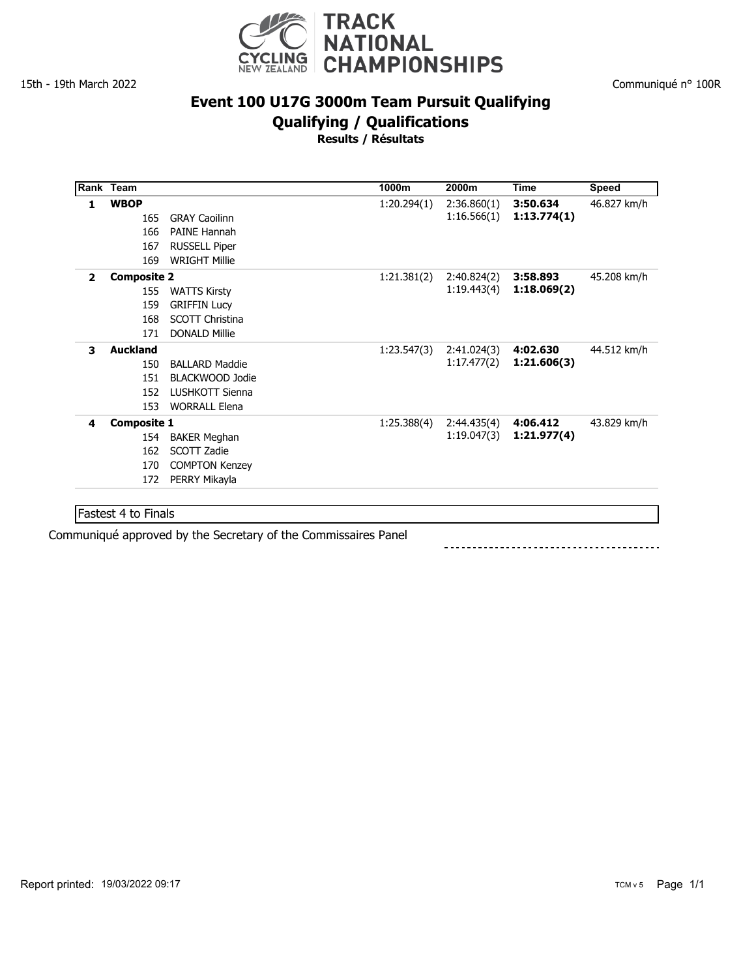

#### Communiqué n° 100R

# **Event 100 U17G 3000m Team Pursuit Qualifying**

**Qualifying / Qualifications**

**Results / Résultats**

|                | Rank Team                                      |                                                                                              | 1000m       | 2000m                      | <b>Time</b>             | <b>Speed</b> |
|----------------|------------------------------------------------|----------------------------------------------------------------------------------------------|-------------|----------------------------|-------------------------|--------------|
| 1              | <b>WBOP</b><br>165<br>166<br>167<br>169        | <b>GRAY Caoilinn</b><br><b>PAINE Hannah</b><br><b>RUSSELL Piper</b><br><b>WRIGHT Millie</b>  | 1:20.294(1) | 2:36.860(1)<br>1:16.566(1) | 3:50.634<br>1:13.774(1) | 46.827 km/h  |
| $\overline{2}$ | <b>Composite 2</b><br>155<br>159<br>168<br>171 | <b>WATTS Kirsty</b><br><b>GRIFFIN Lucy</b><br><b>SCOTT Christina</b><br><b>DONALD Millie</b> | 1:21.381(2) | 2:40.824(2)<br>1:19.443(4) | 3:58.893<br>1:18.069(2) | 45.208 km/h  |
| 3              | <b>Auckland</b><br>150<br>151<br>152<br>153    | <b>BALLARD Maddie</b><br>BLACKWOOD Jodie<br>LUSHKOTT Sienna<br><b>WORRALL Elena</b>          | 1:23.547(3) | 2:41.024(3)<br>1:17.477(2) | 4:02.630<br>1:21.606(3) | 44.512 km/h  |
| 4              | <b>Composite 1</b><br>154<br>162<br>170<br>172 | <b>BAKER Meghan</b><br>SCOTT Zadie<br><b>COMPTON Kenzey</b><br>PERRY Mikayla                 | 1:25.388(4) | 2:44.435(4)<br>1:19.047(3) | 4:06.412<br>1:21.977(4) | 43.829 km/h  |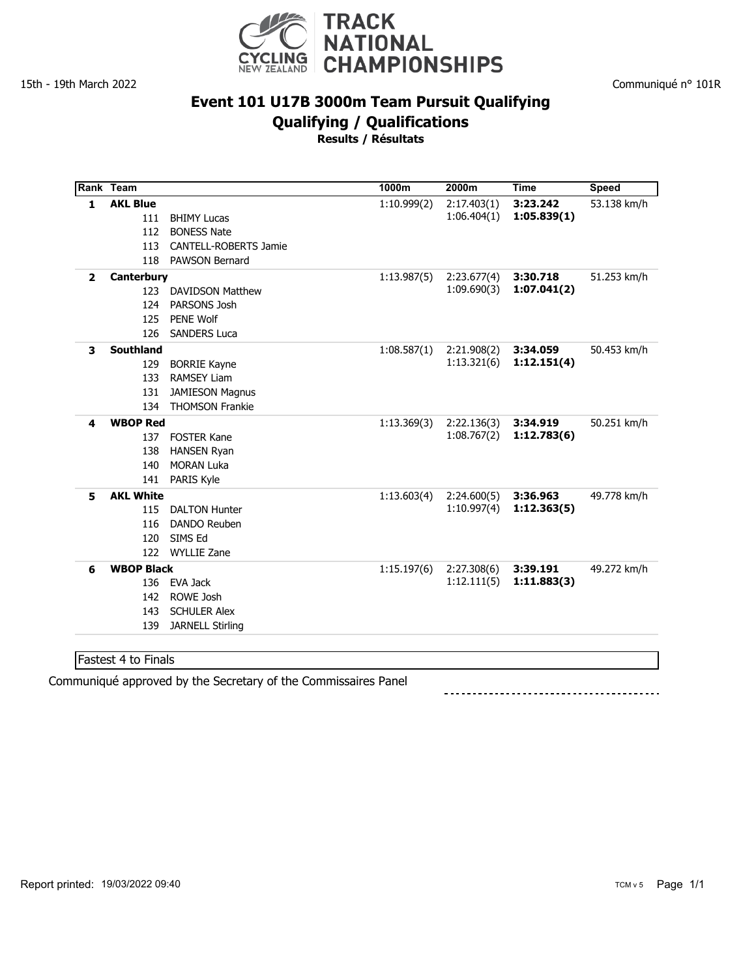

#### Communiqué n° 101R

### **Event 101 U17B 3000m Team Pursuit Qualifying**

**Qualifying / Qualifications**

**Results / Résultats**

|                | Rank Team         |                              | 1000m       | 2000m       | Time        | Speed       |
|----------------|-------------------|------------------------------|-------------|-------------|-------------|-------------|
| $\mathbf{1}$   | <b>AKL Blue</b>   |                              | 1:10.999(2) | 2:17.403(1) | 3:23.242    | 53.138 km/h |
|                | 111               | <b>BHIMY Lucas</b>           |             | 1:06.404(1) | 1:05.839(1) |             |
|                | 112               | <b>BONESS Nate</b>           |             |             |             |             |
|                | 113               | <b>CANTELL-ROBERTS Jamie</b> |             |             |             |             |
|                | 118               | <b>PAWSON Bernard</b>        |             |             |             |             |
| $\overline{2}$ | <b>Canterbury</b> |                              | 1:13.987(5) | 2:23.677(4) | 3:30.718    | 51.253 km/h |
|                | 123               | <b>DAVIDSON Matthew</b>      |             | 1:09.690(3) | 1:07.041(2) |             |
|                | 124               | PARSONS Josh                 |             |             |             |             |
|                | 125               | <b>PENE Wolf</b>             |             |             |             |             |
|                | 126               | <b>SANDERS Luca</b>          |             |             |             |             |
| 3              | <b>Southland</b>  |                              | 1:08.587(1) | 2:21.908(2) | 3:34.059    | 50.453 km/h |
|                | 129               | <b>BORRIE Kayne</b>          |             | 1:13.321(6) | 1:12.151(4) |             |
|                | 133               | <b>RAMSEY Liam</b>           |             |             |             |             |
|                | 131               | <b>JAMIESON Magnus</b>       |             |             |             |             |
|                | 134               | <b>THOMSON Frankie</b>       |             |             |             |             |
| 4              | <b>WBOP Red</b>   |                              | 1:13.369(3) | 2:22.136(3) | 3:34.919    | 50.251 km/h |
|                | 137               | <b>FOSTER Kane</b>           |             | 1:08.767(2) | 1:12.783(6) |             |
|                | 138               | <b>HANSEN Ryan</b>           |             |             |             |             |
|                | 140               | <b>MORAN Luka</b>            |             |             |             |             |
|                | 141               | <b>PARIS Kyle</b>            |             |             |             |             |
| 5              | <b>AKL White</b>  |                              | 1:13.603(4) | 2:24.600(5) | 3:36.963    | 49.778 km/h |
|                | 115               | <b>DALTON Hunter</b>         |             | 1:10.997(4) | 1:12.363(5) |             |
|                | 116               | DANDO Reuben                 |             |             |             |             |
|                | 120               | SIMS Ed                      |             |             |             |             |
|                | 122               | <b>WYLLIE Zane</b>           |             |             |             |             |
| 6              | <b>WBOP Black</b> |                              | 1:15.197(6) | 2:27.308(6) | 3:39.191    | 49.272 km/h |
|                | 136               | EVA Jack                     |             | 1:12.111(5) | 1:11.883(3) |             |
|                | 142               | ROWE Josh                    |             |             |             |             |
|                | 143               | <b>SCHULER Alex</b>          |             |             |             |             |
|                | 139               | <b>JARNELL Stirling</b>      |             |             |             |             |
|                |                   |                              |             |             |             |             |
|                |                   |                              |             |             |             |             |

Fastest 4 to Finals

Communiqué approved by the Secretary of the Commissaires Panel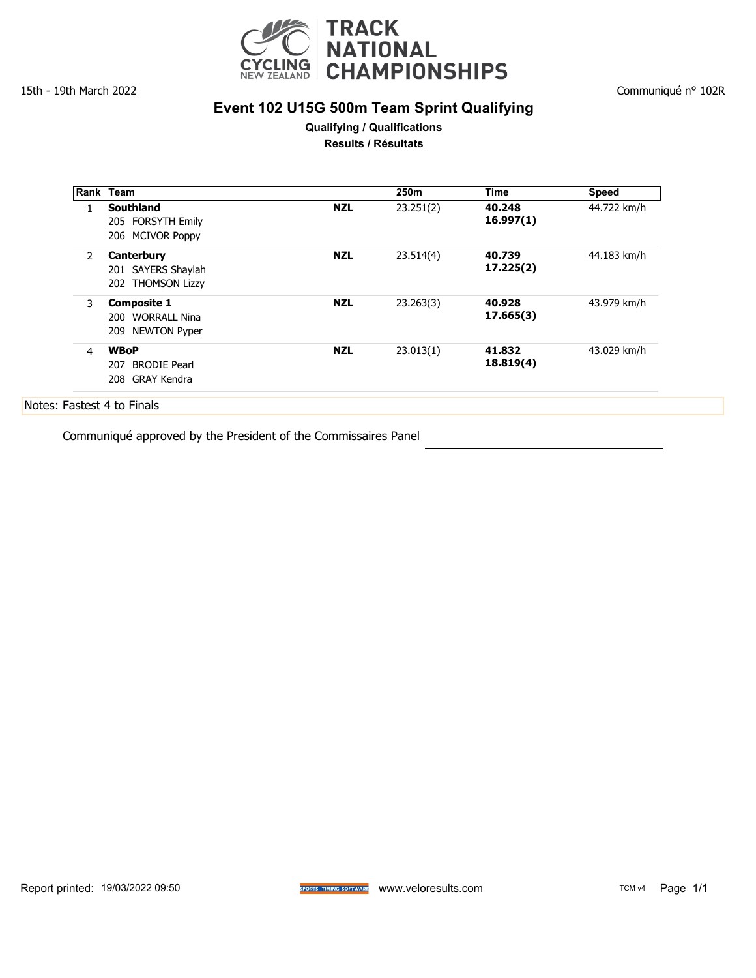

## **Event 102 U15G 500m Team Sprint Qualifying**

Communiqué n° 102R

#### **Qualifying / Qualifications Results / Résultats**

|                | Rank Team                  |            | 250 <sub>m</sub> | <b>Time</b> | <b>Speed</b> |
|----------------|----------------------------|------------|------------------|-------------|--------------|
|                | Southland                  | <b>NZL</b> | 23.251(2)        | 40.248      | 44.722 km/h  |
|                | 205 FORSYTH Emily          |            |                  | 16.997(1)   |              |
|                | 206 MCIVOR Poppy           |            |                  |             |              |
| 2              | Canterbury                 | <b>NZL</b> | 23.514(4)        | 40.739      | 44.183 km/h  |
|                | 201 SAYERS Shaylah         |            |                  | 17.225(2)   |              |
|                | 202 THOMSON Lizzy          |            |                  |             |              |
| 3              | <b>Composite 1</b>         | <b>NZL</b> | 23.263(3)        | 40.928      | 43.979 km/h  |
|                | 200 WORRALL Nina           |            |                  | 17.665(3)   |              |
|                | 209 NEWTON Pyper           |            |                  |             |              |
| $\overline{4}$ | <b>WBoP</b>                | <b>NZL</b> | 23.013(1)        | 41.832      | 43.029 km/h  |
|                | <b>BRODIE Pearl</b><br>207 |            |                  | 18.819(4)   |              |
|                | 208 GRAY Kendra            |            |                  |             |              |

Communiqué approved by the President of the Commissaires Panel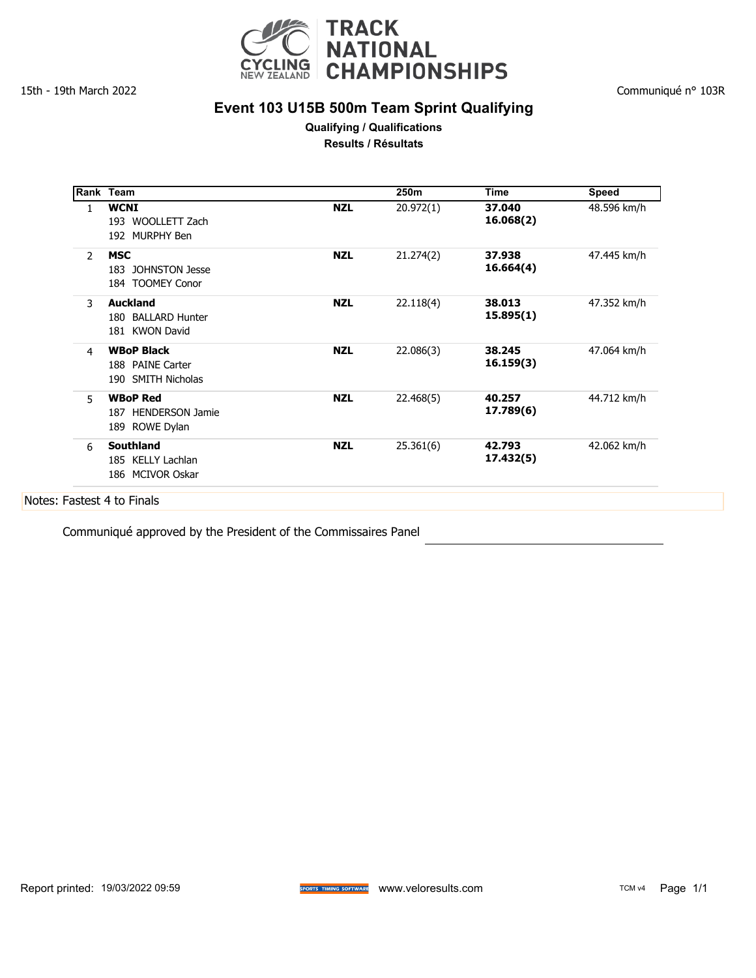

## **Event 103 U15B 500m Team Sprint Qualifying**

**Qualifying / Qualifications Results / Résultats**

|                | Rank Team                                                   |            | 250m      | Time                | <b>Speed</b> |
|----------------|-------------------------------------------------------------|------------|-----------|---------------------|--------------|
| 1.             | <b>WCNI</b><br>193 WOOLLETT Zach<br>192 MURPHY Ben          | <b>NZL</b> | 20.972(1) | 37.040<br>16.068(2) | 48.596 km/h  |
| $\overline{2}$ | <b>MSC</b><br>183 JOHNSTON Jesse<br>184 TOOMEY Conor        | <b>NZL</b> | 21.274(2) | 37.938<br>16.664(4) | 47.445 km/h  |
| 3              | <b>Auckland</b><br>180 BALLARD Hunter<br>181 KWON David     | <b>NZL</b> | 22.118(4) | 38.013<br>15.895(1) | 47.352 km/h  |
| 4              | <b>WBoP Black</b><br>188 PAINE Carter<br>190 SMITH Nicholas | <b>NZL</b> | 22.086(3) | 38.245<br>16.159(3) | 47.064 km/h  |
| 5              | <b>WBoP Red</b><br>187 HENDERSON Jamie<br>189 ROWE Dylan    | <b>NZL</b> | 22.468(5) | 40.257<br>17.789(6) | 44.712 km/h  |
| 6              | <b>Southland</b><br>185 KELLY Lachlan<br>186 MCIVOR Oskar   | <b>NZL</b> | 25.361(6) | 42.793<br>17.432(5) | 42.062 km/h  |

Communiqué approved by the President of the Commissaires Panel

Communiqué n° 103R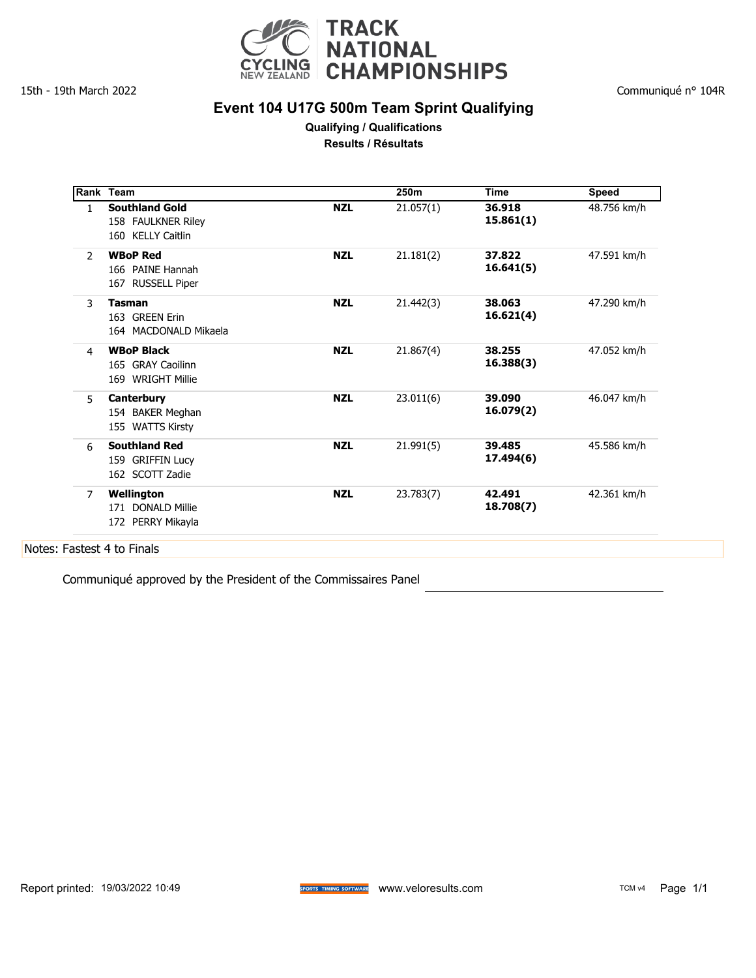

## **Event 104 U17G 500m Team Sprint Qualifying**

**Qualifying / Qualifications Results / Résultats**

|                | Rank Team                                                        |            | 250m      | Time                | <b>Speed</b> |
|----------------|------------------------------------------------------------------|------------|-----------|---------------------|--------------|
| $\mathbf{1}$   | <b>Southland Gold</b><br>158 FAULKNER Riley<br>160 KELLY Caitlin | <b>NZL</b> | 21.057(1) | 36.918<br>15.861(1) | 48.756 km/h  |
| $\overline{2}$ | <b>WBoP Red</b><br>166 PAINE Hannah<br>167 RUSSELL Piper         | <b>NZL</b> | 21.181(2) | 37.822<br>16.641(5) | 47.591 km/h  |
| 3              | <b>Tasman</b><br>163 GREEN Erin<br>164 MACDONALD Mikaela         | <b>NZL</b> | 21.442(3) | 38.063<br>16.621(4) | 47.290 km/h  |
| 4              | <b>WBoP Black</b><br>165 GRAY Caoilinn<br>169 WRIGHT Millie      | <b>NZL</b> | 21.867(4) | 38.255<br>16.388(3) | 47.052 km/h  |
| 5              | Canterbury<br>154 BAKER Meghan<br>155 WATTS Kirsty               | <b>NZL</b> | 23.011(6) | 39.090<br>16.079(2) | 46.047 km/h  |
| 6              | <b>Southland Red</b><br>159 GRIFFIN Lucy<br>162 SCOTT Zadie      | <b>NZL</b> | 21.991(5) | 39.485<br>17.494(6) | 45.586 km/h  |
| $\overline{7}$ | Wellington<br>171 DONALD Millie                                  | <b>NZL</b> | 23.783(7) | 42.491<br>18.708(7) | 42.361 km/h  |

Communiqué approved by the President of the Commissaires Panel

Report printed: 19/03/2022 10:49 **With State of Schools Schools and Mc** With Veloresults.com TCM v4 Page 1/1